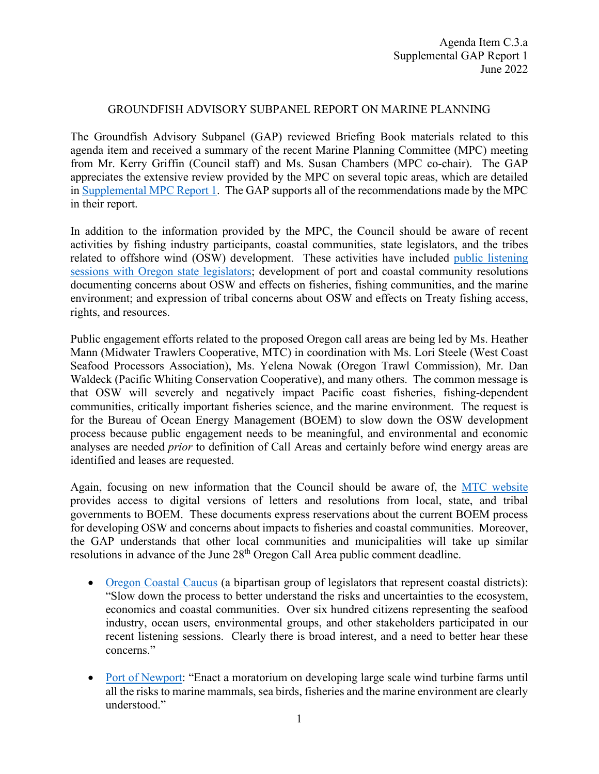## GROUNDFISH ADVISORY SUBPANEL REPORT ON MARINE PLANNING

The Groundfish Advisory Subpanel (GAP) reviewed Briefing Book materials related to this agenda item and received a summary of the recent Marine Planning Committee (MPC) meeting from Mr. Kerry Griffin (Council staff) and Ms. Susan Chambers (MPC co-chair). The GAP appreciates the extensive review provided by the MPC on several topic areas, which are detailed in [Supplemental MPC Report 1.](https://www.pcouncil.org/documents/2022/06/c-3-a-supplemental-mpc-report-1.pdf/) The GAP supports all of the recommendations made by the MPC in their report.

In addition to the information provided by the MPC, the Council should be aware of recent activities by fishing industry participants, coastal communities, state legislators, and the tribes related to offshore wind (OSW) development. These activities have included [public listening](https://www.youtube.com/channel/UCPBcZFVETTaHHA2ejcU4xiQ?app=desktop)  [sessions with Oregon state legislators;](https://www.youtube.com/channel/UCPBcZFVETTaHHA2ejcU4xiQ?app=desktop) development of port and coastal community resolutions documenting concerns about OSW and effects on fisheries, fishing communities, and the marine environment; and expression of tribal concerns about OSW and effects on Treaty fishing access, rights, and resources.

Public engagement efforts related to the proposed Oregon call areas are being led by Ms. Heather Mann (Midwater Trawlers Cooperative, MTC) in coordination with Ms. Lori Steele (West Coast Seafood Processors Association), Ms. Yelena Nowak (Oregon Trawl Commission), Mr. Dan Waldeck (Pacific Whiting Conservation Cooperative), and many others. The common message is that OSW will severely and negatively impact Pacific coast fisheries, fishing-dependent communities, critically important fisheries science, and the marine environment. The request is for the Bureau of Ocean Energy Management (BOEM) to slow down the OSW development process because public engagement needs to be meaningful, and environmental and economic analyses are needed *prior* to definition of Call Areas and certainly before wind energy areas are identified and leases are requested.

Again, focusing on new information that the Council should be aware of, the [MTC website](https://www.midwatertrawlers.org/organizations-going-on-the-record-with-boem/) provides access to digital versions of letters and resolutions from local, state, and tribal governments to BOEM. These documents express reservations about the current BOEM process for developing OSW and concerns about impacts to fisheries and coastal communities. Moreover, the GAP understands that other local communities and municipalities will take up similar resolutions in advance of the June 28<sup>th</sup> Oregon Call Area public comment deadline.

- [Oregon Coastal Caucus](https://www.midwatertrawlers.org/wp-content/media/Coastal-Caucus-Letter-to-BOEM-May-27-2022.pdf) (a bipartisan group of legislators that represent coastal districts): "Slow down the process to better understand the risks and uncertainties to the ecosystem, economics and coastal communities. Over six hundred citizens representing the seafood industry, ocean users, environmental groups, and other stakeholders participated in our recent listening sessions. Clearly there is broad interest, and a need to better hear these concerns."
- [Port of Newport:](https://www.midwatertrawlers.org/wp-content/media/Port-of-Newport-Resolution-Re-Offshore-Wind-May-2022.pdf) "Enact a moratorium on developing large scale wind turbine farms until all the risks to marine mammals, sea birds, fisheries and the marine environment are clearly understood."